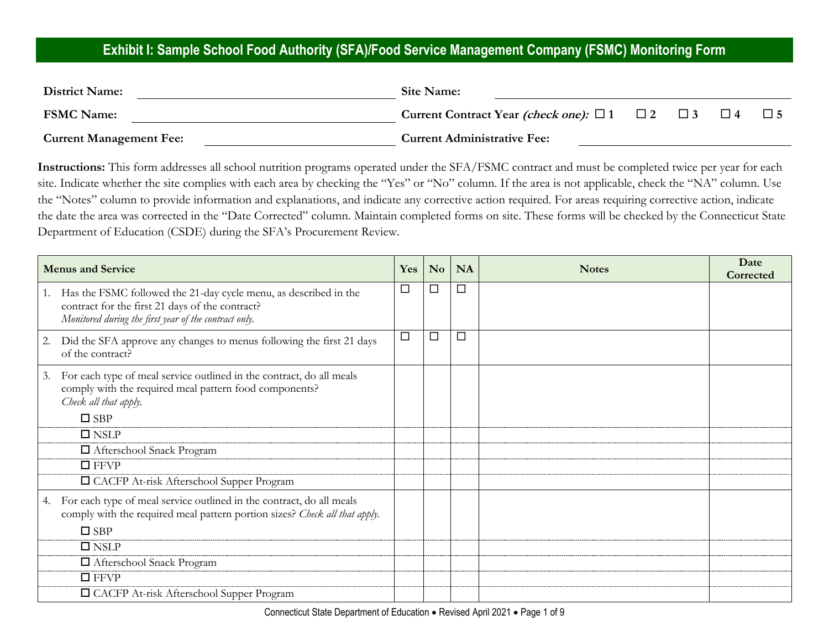#### **Exhibit I: Sample School Food Authority (SFA)/Food Service Management Company (FSMC) Monitoring Form**

| <b>District Name:</b>          | Site Name:                                                            |  |          |  |
|--------------------------------|-----------------------------------------------------------------------|--|----------|--|
| <b>FSMC Name:</b>              | Current Contract Year <i>(check one)</i> : $\Box$ 1 $\Box$ 2 $\Box$ 3 |  | $\Box$ 4 |  |
| <b>Current Management Fee:</b> | <b>Current Administrative Fee:</b>                                    |  |          |  |

**Instructions:** This form addresses all school nutrition programs operated under the SFA/FSMC contract and must be completed twice per year for each site. Indicate whether the site complies with each area by checking the "Yes" or "No" column. If the area is not applicable, check the "NA" column. Use the "Notes" column to provide information and explanations, and indicate any corrective action required. For areas requiring corrective action, indicate the date the area was corrected in the "Date Corrected" column. Maintain completed forms on site. These forms will be checked by the Connecticut State Department of Education (CSDE) during the SFA's Procurement Review.

|    | <b>Menus and Service</b>                                                                                                                                                     | Yes    | No     | <b>NA</b> | <b>Notes</b> | Date<br>Corrected |
|----|------------------------------------------------------------------------------------------------------------------------------------------------------------------------------|--------|--------|-----------|--------------|-------------------|
|    | Has the FSMC followed the 21-day cycle menu, as described in the<br>contract for the first 21 days of the contract?<br>Monitored during the first year of the contract only. | $\Box$ | □      | $\Box$    |              |                   |
| 2. | Did the SFA approve any changes to menus following the first 21 days<br>of the contract?                                                                                     | $\Box$ | $\Box$ | □         |              |                   |
| 3. | For each type of meal service outlined in the contract, do all meals<br>comply with the required meal pattern food components?<br>Check all that apply.                      |        |        |           |              |                   |
|    | $\square$ SBP                                                                                                                                                                |        |        |           |              |                   |
|    | $\square$ NSLP                                                                                                                                                               |        |        |           |              |                   |
|    | □ Afterschool Snack Program                                                                                                                                                  |        |        |           |              |                   |
|    | $\Box$ FFVP                                                                                                                                                                  |        |        |           |              |                   |
|    | □ CACFP At-risk Afterschool Supper Program                                                                                                                                   |        |        |           |              |                   |
| 4. | For each type of meal service outlined in the contract, do all meals<br>comply with the required meal pattern portion sizes? Check all that apply.<br>$\square$ SBP          |        |        |           |              |                   |
|    | $\square$ NSLP                                                                                                                                                               |        |        |           |              |                   |
|    | □ Afterschool Snack Program                                                                                                                                                  |        |        |           |              |                   |
|    | $\square$ FFVP                                                                                                                                                               |        |        |           |              |                   |
|    | □ CACFP At-risk Afterschool Supper Program                                                                                                                                   |        |        |           |              |                   |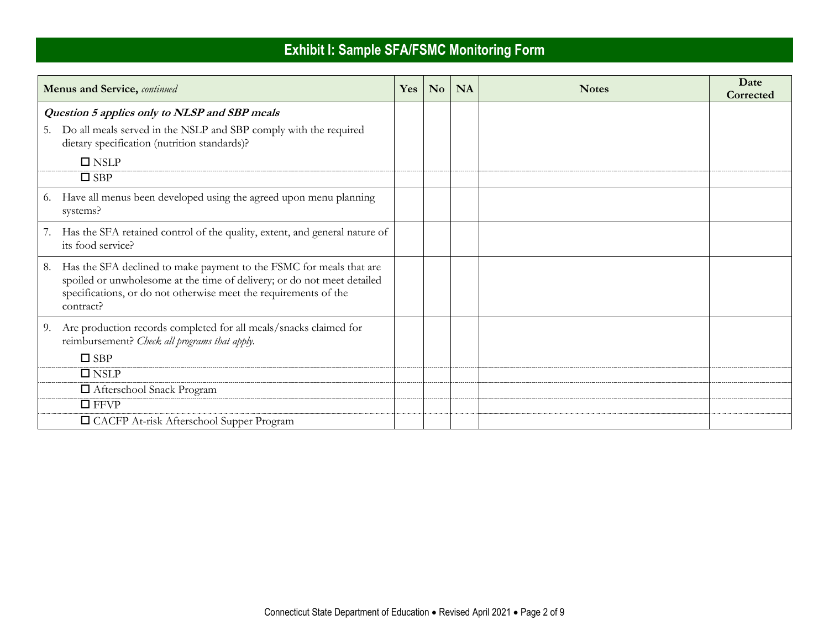| <b>Menus and Service, continued</b>                                                                                                                                                                                                | Yes | N <sub>o</sub> | <b>NA</b> | <b>Notes</b> | Date<br>Corrected |
|------------------------------------------------------------------------------------------------------------------------------------------------------------------------------------------------------------------------------------|-----|----------------|-----------|--------------|-------------------|
| Question 5 applies only to NLSP and SBP meals<br>5. Do all meals served in the NSLP and SBP comply with the required<br>dietary specification (nutrition standards)?                                                               |     |                |           |              |                   |
| $\square$ NSLP<br>$\square$ SBP                                                                                                                                                                                                    |     |                |           |              |                   |
| 6. Have all menus been developed using the agreed upon menu planning<br>systems?                                                                                                                                                   |     |                |           |              |                   |
| 7. Has the SFA retained control of the quality, extent, and general nature of<br>its food service?                                                                                                                                 |     |                |           |              |                   |
| 8. Has the SFA declined to make payment to the FSMC for meals that are<br>spoiled or unwholesome at the time of delivery; or do not meet detailed<br>specifications, or do not otherwise meet the requirements of the<br>contract? |     |                |           |              |                   |
| 9. Are production records completed for all meals/snacks claimed for<br>reimbursement? Check all programs that apply.<br>$\square$ SBP                                                                                             |     |                |           |              |                   |
| $\square$ NSLP                                                                                                                                                                                                                     |     |                |           |              |                   |
| □ Afterschool Snack Program                                                                                                                                                                                                        |     |                |           |              |                   |
| $\Box$ FFVP                                                                                                                                                                                                                        |     |                |           |              |                   |
| □ CACFP At-risk Afterschool Supper Program                                                                                                                                                                                         |     |                |           |              |                   |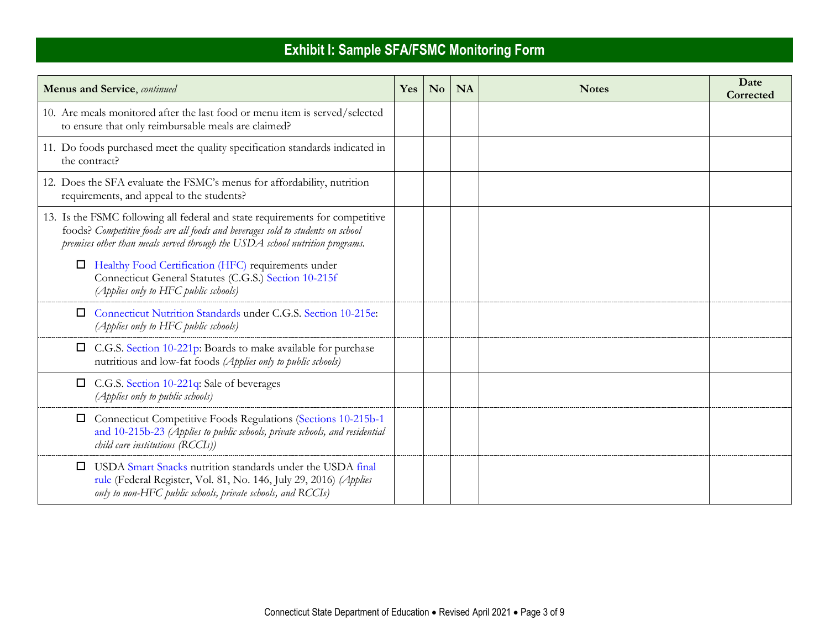| <b>Menus and Service</b> , continued                                                                                                                                                                                                            | Yes | N <sub>o</sub> | <b>NA</b> | <b>Notes</b> | Date<br>Corrected |
|-------------------------------------------------------------------------------------------------------------------------------------------------------------------------------------------------------------------------------------------------|-----|----------------|-----------|--------------|-------------------|
| 10. Are meals monitored after the last food or menu item is served/selected<br>to ensure that only reimbursable meals are claimed?                                                                                                              |     |                |           |              |                   |
| 11. Do foods purchased meet the quality specification standards indicated in<br>the contract?                                                                                                                                                   |     |                |           |              |                   |
| 12. Does the SFA evaluate the FSMC's menus for affordability, nutrition<br>requirements, and appeal to the students?                                                                                                                            |     |                |           |              |                   |
| 13. Is the FSMC following all federal and state requirements for competitive<br>foods? Competitive foods are all foods and beverages sold to students on school<br>premises other than meals served through the USDA school nutrition programs. |     |                |           |              |                   |
| Healthy Food Certification (HFC) requirements under<br>$\Box$<br>Connecticut General Statutes (C.G.S.) Section 10-215f<br>(Applies only to HFC public schools)                                                                                  |     |                |           |              |                   |
| Connecticut Nutrition Standards under C.G.S. Section 10-215e:<br>$\Box$<br>(Applies only to HFC public schools)                                                                                                                                 |     |                |           |              |                   |
| C.G.S. Section 10-221p: Boards to make available for purchase<br>$\Box$<br>nutritious and low-fat foods (Applies only to public schools)                                                                                                        |     |                |           |              |                   |
| C.G.S. Section 10-221q: Sale of beverages<br>$\Box$<br>(Applies only to public schools)                                                                                                                                                         |     |                |           |              |                   |
| Connecticut Competitive Foods Regulations (Sections 10-215b-1<br>$\Box$<br>and 10-215b-23 (Applies to public schools, private schools, and residential<br>child care institutions (RCCIs))                                                      |     |                |           |              |                   |
| USDA Smart Snacks nutrition standards under the USDA final<br>□<br>rule (Federal Register, Vol. 81, No. 146, July 29, 2016) (Applies<br>only to non-HFC public schools, private schools, and RCCIs)                                             |     |                |           |              |                   |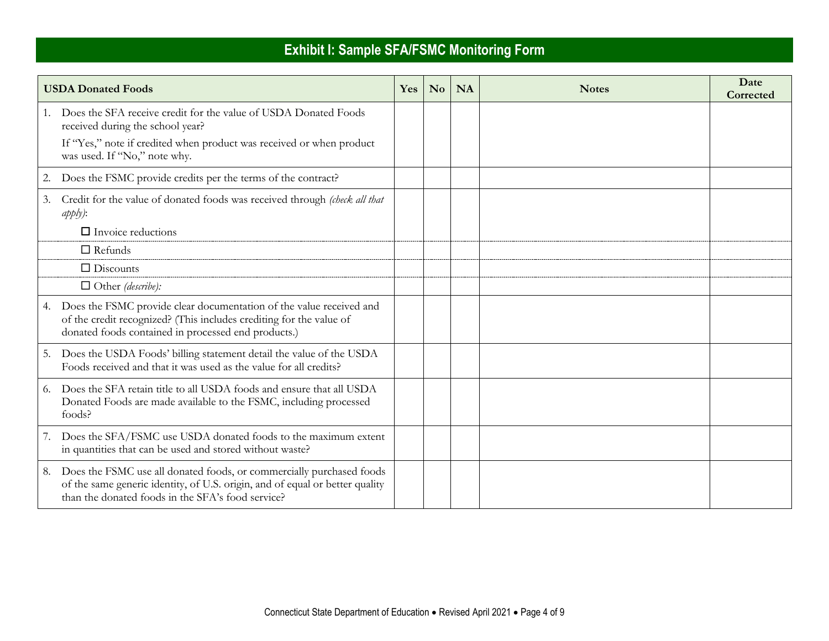|    | <b>USDA Donated Foods</b>                                                                                                                                                                                 | Yes | $\mathbf{N}\mathbf{o}$ | <b>NA</b> | <b>Notes</b> | Date<br>Corrected |
|----|-----------------------------------------------------------------------------------------------------------------------------------------------------------------------------------------------------------|-----|------------------------|-----------|--------------|-------------------|
|    | 1. Does the SFA receive credit for the value of USDA Donated Foods<br>received during the school year?<br>If "Yes," note if credited when product was received or when product                            |     |                        |           |              |                   |
|    | was used. If "No," note why.                                                                                                                                                                              |     |                        |           |              |                   |
| 2. | Does the FSMC provide credits per the terms of the contract?                                                                                                                                              |     |                        |           |              |                   |
| 3. | Credit for the value of donated foods was received through (check all that<br>$apply)$ :                                                                                                                  |     |                        |           |              |                   |
|    | $\Box$ Invoice reductions                                                                                                                                                                                 |     |                        |           |              |                   |
|    | $\Box$ Refunds                                                                                                                                                                                            |     |                        |           |              |                   |
|    | $\Box$ Discounts                                                                                                                                                                                          |     |                        |           |              |                   |
|    | $\Box$ Other (describe):                                                                                                                                                                                  |     |                        |           |              |                   |
|    | 4. Does the FSMC provide clear documentation of the value received and<br>of the credit recognized? (This includes crediting for the value of<br>donated foods contained in processed end products.)      |     |                        |           |              |                   |
|    | 5. Does the USDA Foods' billing statement detail the value of the USDA<br>Foods received and that it was used as the value for all credits?                                                               |     |                        |           |              |                   |
|    | 6. Does the SFA retain title to all USDA foods and ensure that all USDA<br>Donated Foods are made available to the FSMC, including processed<br>foods?                                                    |     |                        |           |              |                   |
| 7. | Does the SFA/FSMC use USDA donated foods to the maximum extent<br>in quantities that can be used and stored without waste?                                                                                |     |                        |           |              |                   |
| 8. | Does the FSMC use all donated foods, or commercially purchased foods<br>of the same generic identity, of U.S. origin, and of equal or better quality<br>than the donated foods in the SFA's food service? |     |                        |           |              |                   |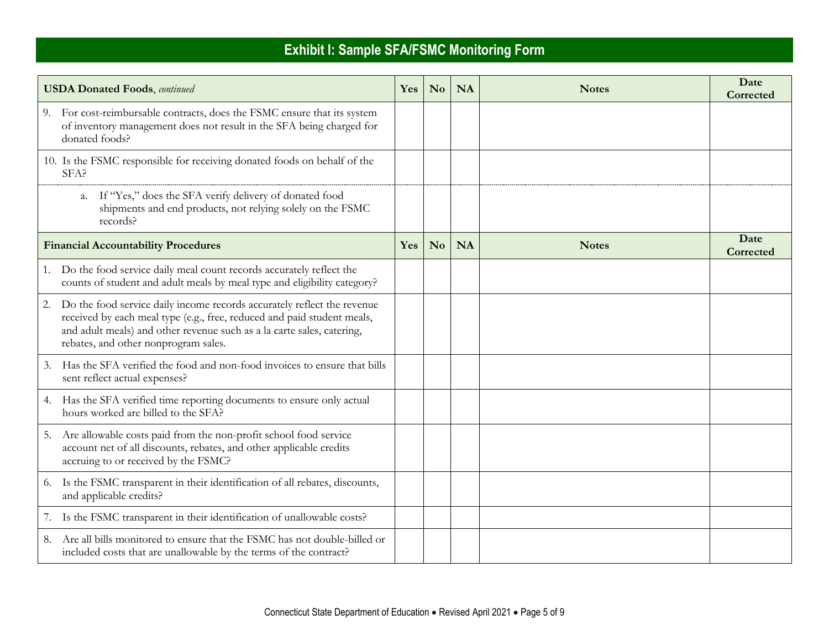| <b>USDA Donated Foods</b> , continued                                                                                                                                                                                                                                      | Yes        | N <sub>0</sub> | <b>NA</b> | <b>Notes</b> | Date<br>Corrected |
|----------------------------------------------------------------------------------------------------------------------------------------------------------------------------------------------------------------------------------------------------------------------------|------------|----------------|-----------|--------------|-------------------|
| 9. For cost-reimbursable contracts, does the FSMC ensure that its system<br>of inventory management does not result in the SFA being charged for<br>donated foods?                                                                                                         |            |                |           |              |                   |
| 10. Is the FSMC responsible for receiving donated foods on behalf of the<br>SFA?                                                                                                                                                                                           |            |                |           |              |                   |
| If "Yes," does the SFA verify delivery of donated food<br>а.<br>shipments and end products, not relying solely on the FSMC<br>records?                                                                                                                                     |            |                |           |              |                   |
| <b>Financial Accountability Procedures</b>                                                                                                                                                                                                                                 | <b>Yes</b> | N <sub>0</sub> | <b>NA</b> | <b>Notes</b> | Date<br>Corrected |
| 1. Do the food service daily meal count records accurately reflect the<br>counts of student and adult meals by meal type and eligibility category?                                                                                                                         |            |                |           |              |                   |
| 2.<br>Do the food service daily income records accurately reflect the revenue<br>received by each meal type (e.g., free, reduced and paid student meals,<br>and adult meals) and other revenue such as a la carte sales, catering,<br>rebates, and other nonprogram sales. |            |                |           |              |                   |
| Has the SFA verified the food and non-food invoices to ensure that bills<br>3.<br>sent reflect actual expenses?                                                                                                                                                            |            |                |           |              |                   |
| 4. Has the SFA verified time reporting documents to ensure only actual<br>hours worked are billed to the SFA?                                                                                                                                                              |            |                |           |              |                   |
| Are allowable costs paid from the non-profit school food service<br>5.<br>account net of all discounts, rebates, and other applicable credits<br>accruing to or received by the FSMC?                                                                                      |            |                |           |              |                   |
| 6. Is the FSMC transparent in their identification of all rebates, discounts,<br>and applicable credits?                                                                                                                                                                   |            |                |           |              |                   |
| 7. Is the FSMC transparent in their identification of unallowable costs?                                                                                                                                                                                                   |            |                |           |              |                   |
| Are all bills monitored to ensure that the FSMC has not double-billed or<br>8.<br>included costs that are unallowable by the terms of the contract?                                                                                                                        |            |                |           |              |                   |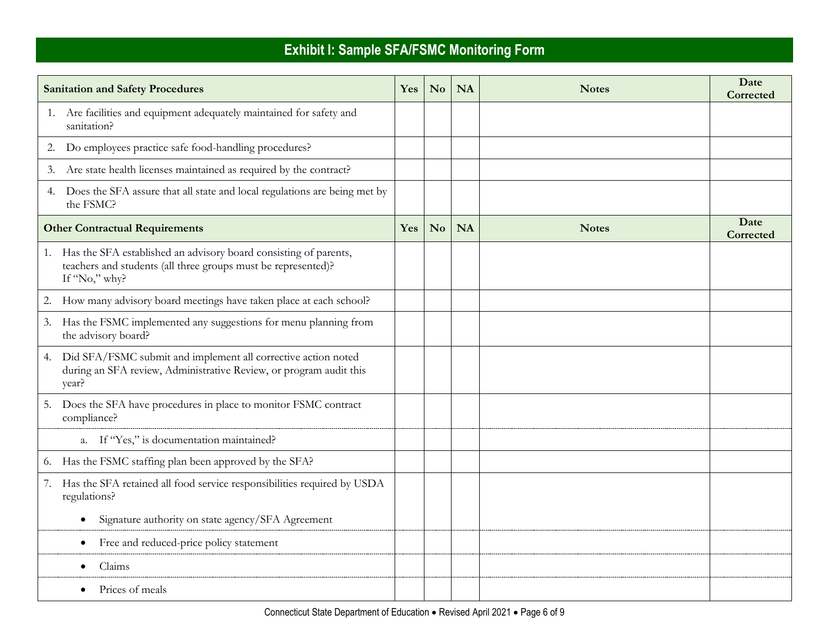|    | <b>Sanitation and Safety Procedures</b>                                                                                                               | Yes | $\mathbf{N}\mathbf{o}$ | <b>NA</b> | <b>Notes</b> | Date<br>Corrected |
|----|-------------------------------------------------------------------------------------------------------------------------------------------------------|-----|------------------------|-----------|--------------|-------------------|
|    | 1. Are facilities and equipment adequately maintained for safety and<br>sanitation?                                                                   |     |                        |           |              |                   |
|    | 2. Do employees practice safe food-handling procedures?                                                                                               |     |                        |           |              |                   |
| 3. | Are state health licenses maintained as required by the contract?                                                                                     |     |                        |           |              |                   |
|    | 4. Does the SFA assure that all state and local regulations are being met by<br>the FSMC?                                                             |     |                        |           |              |                   |
|    | <b>Other Contractual Requirements</b>                                                                                                                 | Yes | N <sub>o</sub>         | <b>NA</b> | <b>Notes</b> | Date<br>Corrected |
|    | 1. Has the SFA established an advisory board consisting of parents,<br>teachers and students (all three groups must be represented)?<br>If "No," why? |     |                        |           |              |                   |
|    | 2. How many advisory board meetings have taken place at each school?                                                                                  |     |                        |           |              |                   |
|    | 3. Has the FSMC implemented any suggestions for menu planning from<br>the advisory board?                                                             |     |                        |           |              |                   |
|    | 4. Did SFA/FSMC submit and implement all corrective action noted<br>during an SFA review, Administrative Review, or program audit this<br>year?       |     |                        |           |              |                   |
|    | 5. Does the SFA have procedures in place to monitor FSMC contract<br>compliance?                                                                      |     |                        |           |              |                   |
|    | a. If "Yes," is documentation maintained?                                                                                                             |     |                        |           |              |                   |
|    | 6. Has the FSMC staffing plan been approved by the SFA?                                                                                               |     |                        |           |              |                   |
|    | 7. Has the SFA retained all food service responsibilities required by USDA<br>regulations?                                                            |     |                        |           |              |                   |
|    | Signature authority on state agency/SFA Agreement<br>$\bullet$                                                                                        |     |                        |           |              |                   |
|    | Free and reduced-price policy statement<br>$\bullet$                                                                                                  |     |                        |           |              |                   |
|    | Claims                                                                                                                                                |     |                        |           |              |                   |
|    | Prices of meals                                                                                                                                       |     |                        |           |              |                   |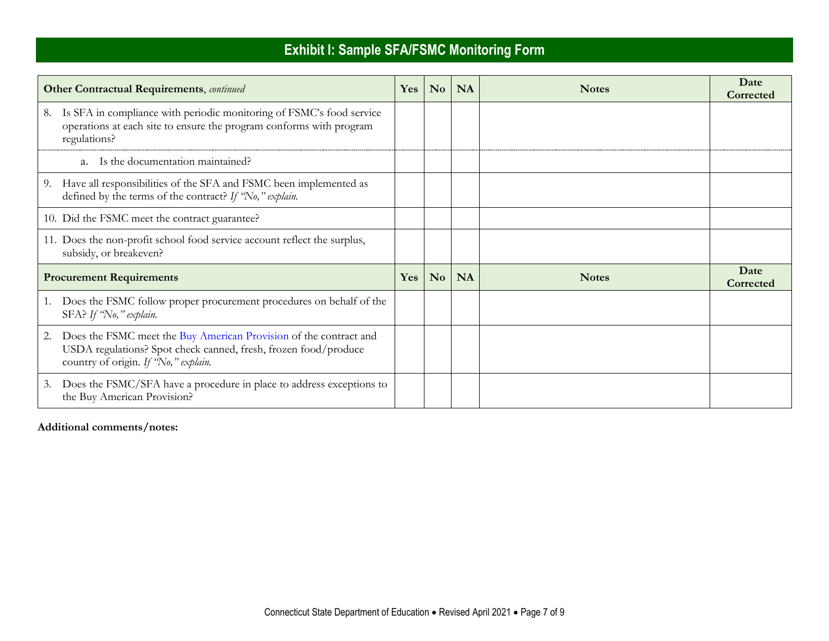|    | <b>Other Contractual Requirements</b> , continued                                                                                                                            | Yes | N <sub>o</sub> | <b>NA</b> | <b>Notes</b> | Date<br>Corrected |
|----|------------------------------------------------------------------------------------------------------------------------------------------------------------------------------|-----|----------------|-----------|--------------|-------------------|
| 8. | Is SFA in compliance with periodic monitoring of FSMC's food service<br>operations at each site to ensure the program conforms with program<br>regulations?                  |     |                |           |              |                   |
|    | a. Is the documentation maintained?                                                                                                                                          |     |                |           |              |                   |
|    | 9. Have all responsibilities of the SFA and FSMC been implemented as<br>defined by the terms of the contract? If 'No," explain.                                              |     |                |           |              |                   |
|    | 10. Did the FSMC meet the contract guarantee?                                                                                                                                |     |                |           |              |                   |
|    | 11. Does the non-profit school food service account reflect the surplus,<br>subsidy, or breakeven?                                                                           |     |                |           |              |                   |
|    | <b>Procurement Requirements</b>                                                                                                                                              | Yes | N <sub>o</sub> | <b>NA</b> | <b>Notes</b> | Date<br>Corrected |
|    | Does the FSMC follow proper procurement procedures on behalf of the<br>SFA? If 'No," explain.                                                                                |     |                |           |              |                   |
| 2. | Does the FSMC meet the Buy American Provision of the contract and<br>USDA regulations? Spot check canned, fresh, frozen food/produce<br>country of origin. If 'No," explain. |     |                |           |              |                   |
|    | 3. Does the FSMC/SFA have a procedure in place to address exceptions to<br>the Buy American Provision?                                                                       |     |                |           |              |                   |

#### **Additional comments/notes:**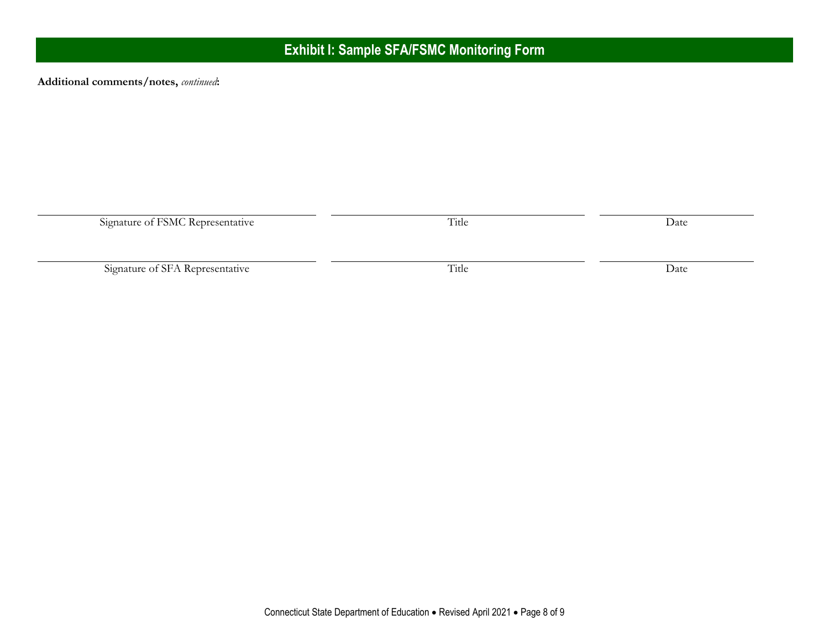**Additional comments/notes,** *continued***:**

| Signature of FSMC Representative | Title | Date |
|----------------------------------|-------|------|
|                                  |       |      |
| Signature of SFA Representative  | Title | Date |